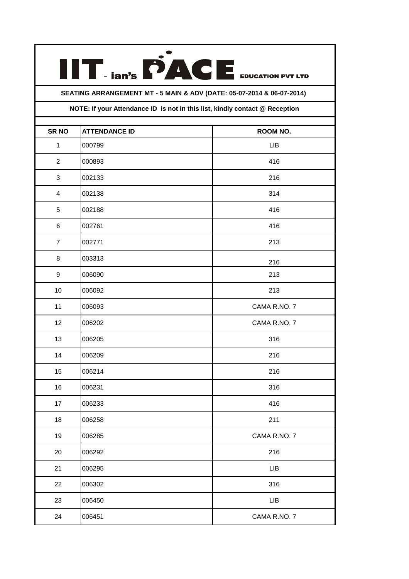## EDUCATION PVT LTD **SEATING ARRANGEMENT MT - 5 MAIN & ADV (DATE: 05-07-2014 & 06-07-2014)**

 $\prod_{\text{tan's}} \dot{P}$ 

## **NOTE: If your Attendance ID is not in this list, kindly contact @ Reception**

| <b>SR NO</b>     | <b>ATTENDANCE ID</b> | ROOM NO.     |
|------------------|----------------------|--------------|
| $\mathbf{1}$     | 000799               | LIB          |
| $\overline{2}$   | 000893               | 416          |
| $\mathbf{3}$     | 002133               | 216          |
| 4                | 002138               | 314          |
| 5                | 002188               | 416          |
| 6                | 002761               | 416          |
| $\overline{7}$   | 002771               | 213          |
| 8                | 003313               | 216          |
| $\boldsymbol{9}$ | 006090               | 213          |
| 10               | 006092               | 213          |
| 11               | 006093               | CAMA R.NO.7  |
| 12               | 006202               | CAMA R.NO.7  |
| 13               | 006205               | 316          |
| 14               | 006209               | 216          |
| 15               | 006214               | 216          |
| 16               | 006231               | 316          |
| 17               | 006233               | 416          |
| 18               | 006258               | 211          |
| 19               | 006285               | CAMA R.NO. 7 |
| $20\,$           | 006292               | 216          |
| 21               | 006295               | LIB          |
| 22               | 006302               | 316          |
| 23               | 006450               | ${\sf LIB}$  |
| 24               | 006451               | CAMA R.NO. 7 |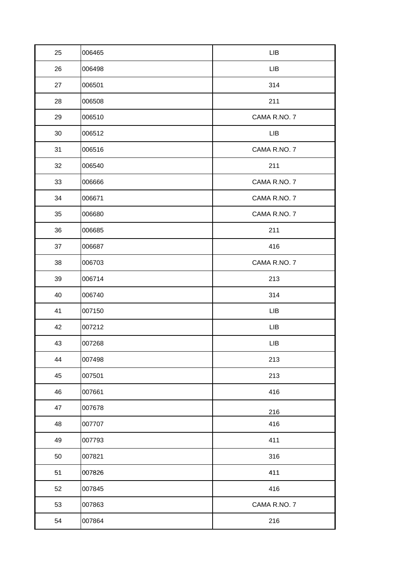| 25 | 006465 | LIB          |
|----|--------|--------------|
| 26 | 006498 | LIB          |
| 27 | 006501 | 314          |
| 28 | 006508 | 211          |
| 29 | 006510 | CAMA R.NO. 7 |
| 30 | 006512 | <b>LIB</b>   |
| 31 | 006516 | CAMA R.NO. 7 |
| 32 | 006540 | 211          |
| 33 | 006666 | CAMA R.NO. 7 |
| 34 | 006671 | CAMA R.NO. 7 |
| 35 | 006680 | CAMA R.NO. 7 |
| 36 | 006685 | 211          |
| 37 | 006687 | 416          |
| 38 | 006703 | CAMA R.NO. 7 |
| 39 | 006714 | 213          |
| 40 | 006740 | 314          |
| 41 | 007150 | LIB          |
| 42 | 007212 | LIB          |
| 43 | 007268 | LIB          |
| 44 | 007498 | 213          |
| 45 | 007501 | 213          |
| 46 | 007661 | 416          |
| 47 | 007678 | 216          |
| 48 | 007707 | 416          |
| 49 | 007793 | 411          |
| 50 | 007821 | 316          |
| 51 | 007826 | 411          |
| 52 | 007845 | 416          |
| 53 | 007863 | CAMA R.NO. 7 |
| 54 | 007864 | 216          |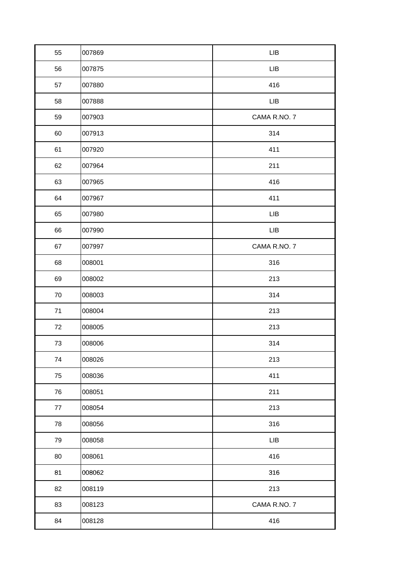| 55     | 007869 | ${\sf LIB}$  |
|--------|--------|--------------|
| 56     | 007875 | ${\sf LIB}$  |
| 57     | 007880 | 416          |
| 58     | 007888 | ${\sf LIB}$  |
| 59     | 007903 | CAMA R.NO. 7 |
| 60     | 007913 | 314          |
| 61     | 007920 | 411          |
| 62     | 007964 | 211          |
| 63     | 007965 | 416          |
| 64     | 007967 | 411          |
| 65     | 007980 | LIB          |
| 66     | 007990 | LIB          |
| 67     | 007997 | CAMA R.NO. 7 |
| 68     | 008001 | 316          |
| 69     | 008002 | 213          |
| $70\,$ | 008003 | 314          |
| $71$   | 008004 | 213          |
| 72     | 008005 | 213          |
| $73\,$ | 008006 | 314          |
| 74     | 008026 | 213          |
| 75     | 008036 | 411          |
| 76     | 008051 | 211          |
| 77     | 008054 | 213          |
| 78     | 008056 | 316          |
| 79     | 008058 | ${\sf LIB}$  |
| 80     | 008061 | 416          |
| 81     | 008062 | 316          |
| 82     | 008119 | 213          |
| 83     | 008123 | CAMA R.NO. 7 |
| 84     | 008128 | 416          |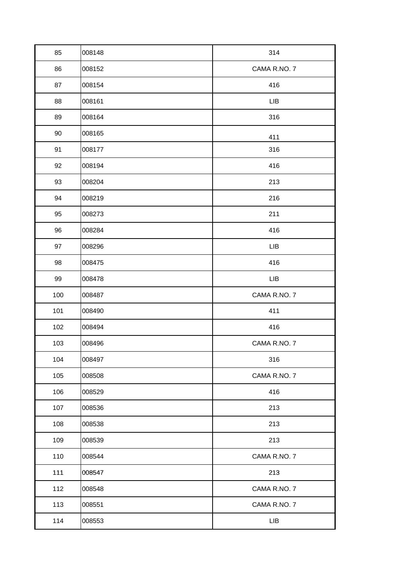| 85  | 008148 | 314          |
|-----|--------|--------------|
| 86  | 008152 | CAMA R.NO. 7 |
| 87  | 008154 | 416          |
| 88  | 008161 | LIB          |
| 89  | 008164 | 316          |
| 90  | 008165 | 411          |
| 91  | 008177 | 316          |
| 92  | 008194 | 416          |
| 93  | 008204 | 213          |
| 94  | 008219 | 216          |
| 95  | 008273 | 211          |
| 96  | 008284 | 416          |
| 97  | 008296 | LIB          |
| 98  | 008475 | 416          |
| 99  | 008478 | LIB          |
| 100 | 008487 | CAMA R.NO. 7 |
| 101 | 008490 | 411          |
| 102 | 008494 | 416          |
| 103 | 008496 | CAMA R.NO.7  |
| 104 | 008497 | 316          |
| 105 | 008508 | CAMA R.NO.7  |
| 106 | 008529 | 416          |
| 107 | 008536 | 213          |
| 108 | 008538 | 213          |
| 109 | 008539 | 213          |
| 110 | 008544 | CAMA R.NO. 7 |
| 111 | 008547 | 213          |
| 112 | 008548 | CAMA R.NO. 7 |
| 113 | 008551 | CAMA R.NO. 7 |
| 114 | 008553 | LIB          |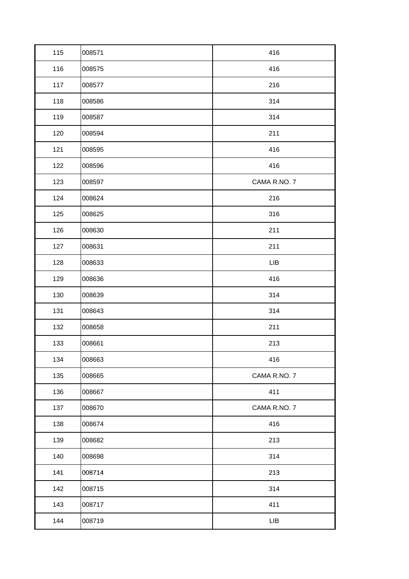| 115 | 008571 | 416          |
|-----|--------|--------------|
| 116 | 008575 | 416          |
| 117 | 008577 | 216          |
| 118 | 008586 | 314          |
| 119 | 008587 | 314          |
| 120 | 008594 | 211          |
| 121 | 008595 | 416          |
| 122 | 008596 | 416          |
| 123 | 008597 | CAMA R.NO.7  |
| 124 | 008624 | 216          |
| 125 | 008625 | 316          |
| 126 | 008630 | 211          |
| 127 | 008631 | 211          |
| 128 | 008633 | <b>LIB</b>   |
| 129 | 008636 | 416          |
| 130 | 008639 | 314          |
| 131 | 008643 | 314          |
| 132 | 008658 | 211          |
| 133 | 008661 | 213          |
| 134 | 008663 | 416          |
| 135 | 008665 | CAMA R.NO. 7 |
| 136 | 008667 | 411          |
| 137 | 008670 | CAMA R.NO. 7 |
| 138 | 008674 | 416          |
| 139 | 008682 | 213          |
| 140 | 008698 | 314          |
| 141 | 008714 | 213          |
| 142 | 008715 | 314          |
| 143 | 008717 | 411          |
| 144 | 008719 | ${\sf LIB}$  |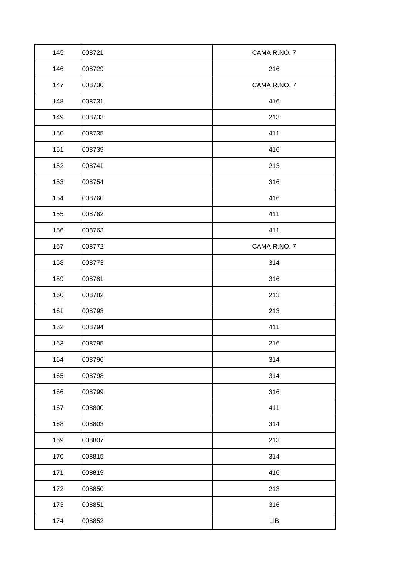| 145 | 008721 | CAMA R.NO. 7 |
|-----|--------|--------------|
| 146 | 008729 | 216          |
| 147 | 008730 | CAMA R.NO. 7 |
| 148 | 008731 | 416          |
| 149 | 008733 | 213          |
| 150 | 008735 | 411          |
| 151 | 008739 | 416          |
| 152 | 008741 | 213          |
| 153 | 008754 | 316          |
| 154 | 008760 | 416          |
| 155 | 008762 | 411          |
| 156 | 008763 | 411          |
| 157 | 008772 | CAMA R.NO. 7 |
| 158 | 008773 | 314          |
| 159 | 008781 | 316          |
| 160 | 008782 | 213          |
| 161 | 008793 | 213          |
| 162 | 008794 | 411          |
| 163 | 008795 | 216          |
| 164 | 008796 | 314          |
| 165 | 008798 | 314          |
| 166 | 008799 | 316          |
| 167 | 008800 | 411          |
| 168 | 008803 | 314          |
| 169 | 008807 | 213          |
| 170 | 008815 | 314          |
| 171 | 008819 | 416          |
| 172 | 008850 | 213          |
| 173 | 008851 | 316          |
| 174 | 008852 | LIB          |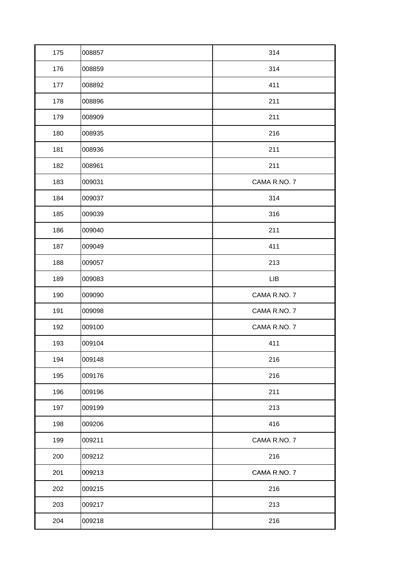| 175 | 008857 | 314          |
|-----|--------|--------------|
| 176 | 008859 | 314          |
| 177 | 008892 | 411          |
| 178 | 008896 | 211          |
| 179 | 008909 | 211          |
| 180 | 008935 | 216          |
| 181 | 008936 | 211          |
| 182 | 008961 | 211          |
| 183 | 009031 | CAMA R.NO.7  |
| 184 | 009037 | 314          |
| 185 | 009039 | 316          |
| 186 | 009040 | 211          |
| 187 | 009049 | 411          |
| 188 | 009057 | 213          |
| 189 | 009083 | <b>LIB</b>   |
| 190 | 009090 | CAMA R.NO. 7 |
| 191 | 009098 | CAMA R.NO. 7 |
| 192 | 009100 | CAMA R.NO. 7 |
| 193 | 009104 | 411          |
| 194 | 009148 | 216          |
| 195 | 009176 | 216          |
| 196 | 009196 |              |
|     |        | 211          |
| 197 | 009199 | 213          |
| 198 | 009206 | 416          |
| 199 | 009211 | CAMA R.NO. 7 |
| 200 | 009212 | 216          |
| 201 | 009213 | CAMA R.NO. 7 |
| 202 | 009215 | 216          |
| 203 | 009217 | 213          |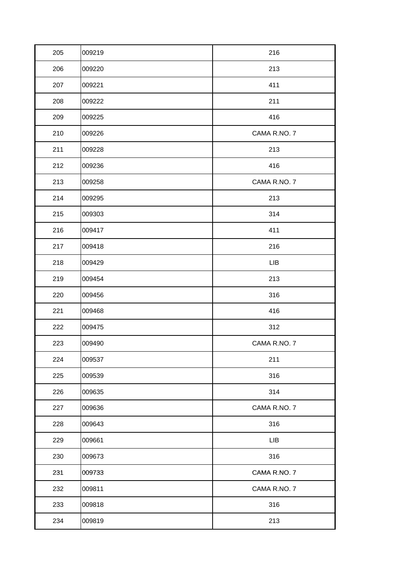| 205 | 009219 | 216          |
|-----|--------|--------------|
| 206 | 009220 | 213          |
| 207 | 009221 | 411          |
| 208 | 009222 | 211          |
| 209 | 009225 | 416          |
| 210 | 009226 | CAMA R.NO. 7 |
| 211 | 009228 | 213          |
| 212 | 009236 | 416          |
| 213 | 009258 | CAMA R.NO. 7 |
| 214 | 009295 | 213          |
| 215 | 009303 | 314          |
| 216 | 009417 | 411          |
| 217 | 009418 | 216          |
| 218 | 009429 | LIB          |
| 219 | 009454 | 213          |
| 220 | 009456 | 316          |
| 221 | 009468 | 416          |
| 222 | 009475 | 312          |
| 223 | 009490 | CAMA R.NO. 7 |
| 224 | 009537 | 211          |
| 225 | 009539 | 316          |
| 226 | 009635 | 314          |
| 227 | 009636 | CAMA R.NO. 7 |
| 228 | 009643 | 316          |
| 229 | 009661 | <b>LIB</b>   |
| 230 | 009673 | 316          |
| 231 | 009733 | CAMA R.NO. 7 |
| 232 | 009811 | CAMA R.NO. 7 |
| 233 | 009818 | 316          |
| 234 | 009819 | 213          |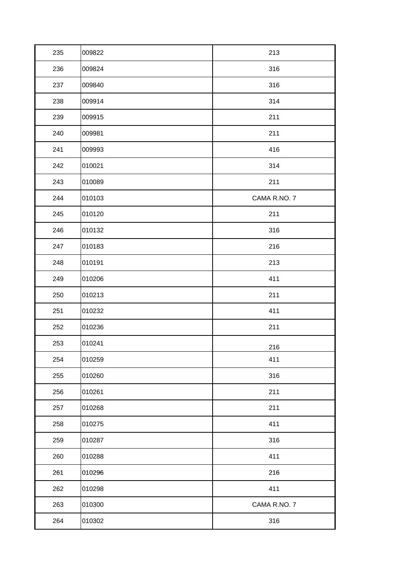| 235 | 009822 | 213          |
|-----|--------|--------------|
| 236 | 009824 | 316          |
| 237 | 009840 | 316          |
| 238 | 009914 | 314          |
| 239 | 009915 | 211          |
| 240 | 009981 | 211          |
| 241 | 009993 | 416          |
| 242 | 010021 | 314          |
| 243 | 010089 | 211          |
| 244 | 010103 | CAMA R.NO. 7 |
| 245 | 010120 | 211          |
| 246 | 010132 | 316          |
| 247 | 010183 | 216          |
| 248 | 010191 | 213          |
| 249 | 010206 | 411          |
| 250 | 010213 | 211          |
| 251 | 010232 | 411          |
| 252 | 010236 | 211          |
| 253 | 010241 | 216          |
| 254 | 010259 | 411          |
| 255 | 010260 | 316          |
| 256 | 010261 | 211          |
| 257 | 010268 | 211          |
| 258 | 010275 | 411          |
| 259 | 010287 | 316          |
| 260 | 010288 | 411          |
| 261 | 010296 | 216          |
| 262 | 010298 | 411          |
| 263 | 010300 | CAMA R.NO. 7 |
| 264 | 010302 | 316          |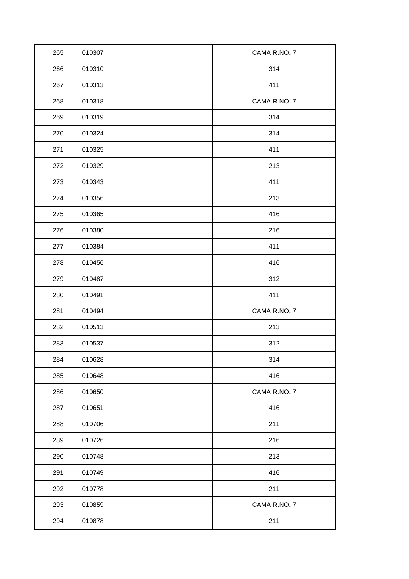| 265 | 010307 | CAMA R.NO. 7 |
|-----|--------|--------------|
| 266 | 010310 | 314          |
| 267 | 010313 | 411          |
| 268 | 010318 | CAMA R.NO.7  |
| 269 | 010319 | 314          |
| 270 | 010324 | 314          |
| 271 | 010325 | 411          |
| 272 | 010329 | 213          |
| 273 | 010343 | 411          |
| 274 | 010356 | 213          |
| 275 | 010365 | 416          |
| 276 | 010380 | 216          |
| 277 | 010384 | 411          |
| 278 | 010456 | 416          |
| 279 | 010487 | 312          |
| 280 | 010491 | 411          |
| 281 | 010494 | CAMA R.NO. 7 |
| 282 | 010513 | 213          |
| 283 | 010537 | 312          |
| 284 | 010628 | 314          |
| 285 | 010648 | 416          |
| 286 | 010650 | CAMA R.NO. 7 |
| 287 | 010651 | 416          |
| 288 | 010706 | 211          |
| 289 | 010726 | 216          |
| 290 | 010748 | 213          |
| 291 | 010749 | 416          |
| 292 | 010778 | 211          |
| 293 | 010859 | CAMA R.NO. 7 |
| 294 | 010878 | 211          |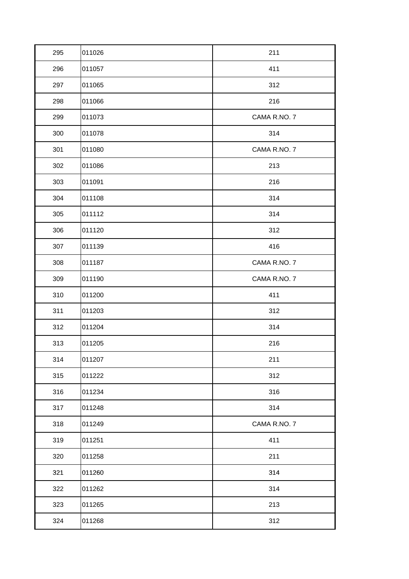| 295 | 011026 | 211          |
|-----|--------|--------------|
| 296 | 011057 | 411          |
| 297 | 011065 | 312          |
| 298 | 011066 | 216          |
| 299 | 011073 | CAMA R.NO. 7 |
| 300 | 011078 | 314          |
| 301 | 011080 | CAMA R.NO. 7 |
| 302 | 011086 | 213          |
| 303 | 011091 | 216          |
| 304 | 011108 | 314          |
| 305 | 011112 | 314          |
| 306 | 011120 | 312          |
| 307 | 011139 | 416          |
| 308 | 011187 | CAMA R.NO. 7 |
| 309 | 011190 | CAMA R.NO. 7 |
| 310 | 011200 | 411          |
| 311 | 011203 | 312          |
| 312 | 011204 | 314          |
| 313 | 011205 | 216          |
| 314 | 011207 | 211          |
| 315 | 011222 | 312          |
| 316 | 011234 | 316          |
| 317 | 011248 | 314          |
| 318 | 011249 | CAMA R.NO. 7 |
| 319 | 011251 | 411          |
| 320 | 011258 | 211          |
| 321 | 011260 | 314          |
| 322 | 011262 | 314          |
| 323 | 011265 | 213          |
| 324 | 011268 | 312          |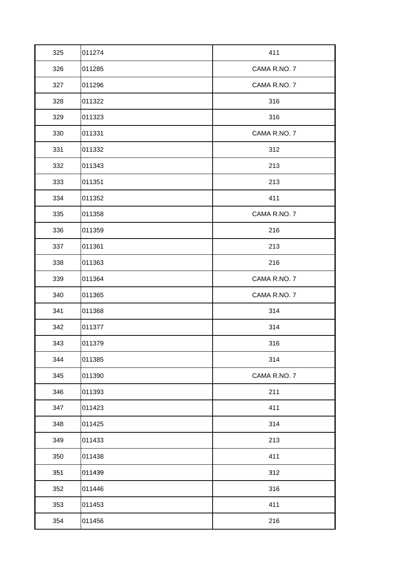| 325 | 011274 | 411          |
|-----|--------|--------------|
| 326 | 011285 | CAMA R.NO.7  |
| 327 | 011296 | CAMA R.NO. 7 |
| 328 | 011322 | 316          |
| 329 | 011323 | 316          |
| 330 | 011331 | CAMA R.NO. 7 |
| 331 | 011332 | 312          |
| 332 | 011343 | 213          |
| 333 | 011351 | 213          |
| 334 | 011352 | 411          |
| 335 | 011358 | CAMA R.NO. 7 |
| 336 | 011359 | 216          |
| 337 | 011361 | 213          |
| 338 | 011363 | 216          |
| 339 | 011364 | CAMA R.NO. 7 |
|     |        |              |
| 340 | 011365 | CAMA R.NO. 7 |
| 341 | 011368 | 314          |
| 342 | 011377 | 314          |
| 343 | 011379 | 316          |
| 344 | 011385 | 314          |
| 345 | 011390 | CAMA R.NO. 7 |
| 346 | 011393 | 211          |
| 347 | 011423 | 411          |
| 348 | 011425 | 314          |
| 349 | 011433 | 213          |
| 350 | 011438 | 411          |
| 351 | 011439 | 312          |
| 352 | 011446 | 316          |
| 353 | 011453 | 411          |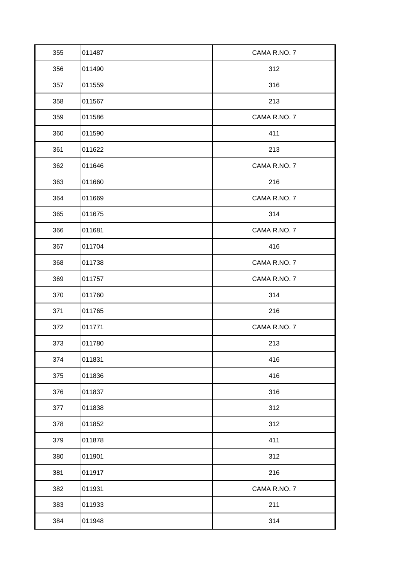| 355 | 011487 | CAMA R.NO.7  |
|-----|--------|--------------|
| 356 | 011490 | 312          |
| 357 | 011559 | 316          |
| 358 | 011567 | 213          |
| 359 | 011586 | CAMA R.NO. 7 |
| 360 | 011590 | 411          |
| 361 | 011622 | 213          |
| 362 | 011646 | CAMA R.NO. 7 |
| 363 | 011660 | 216          |
| 364 | 011669 | CAMA R.NO. 7 |
| 365 | 011675 | 314          |
| 366 | 011681 | CAMA R.NO. 7 |
| 367 | 011704 | 416          |
| 368 | 011738 | CAMA R.NO. 7 |
| 369 | 011757 | CAMA R.NO. 7 |
| 370 | 011760 | 314          |
| 371 | 011765 | 216          |
| 372 | 011771 | CAMA R.NO. 7 |
| 373 | 011780 | 213          |
| 374 | 011831 | 416          |
| 375 | 011836 | 416          |
| 376 | 011837 | 316          |
| 377 | 011838 | 312          |
| 378 | 011852 | 312          |
| 379 | 011878 | 411          |
| 380 | 011901 | 312          |
| 381 | 011917 | 216          |
| 382 | 011931 | CAMA R.NO. 7 |
| 383 | 011933 | 211          |
| 384 | 011948 | 314          |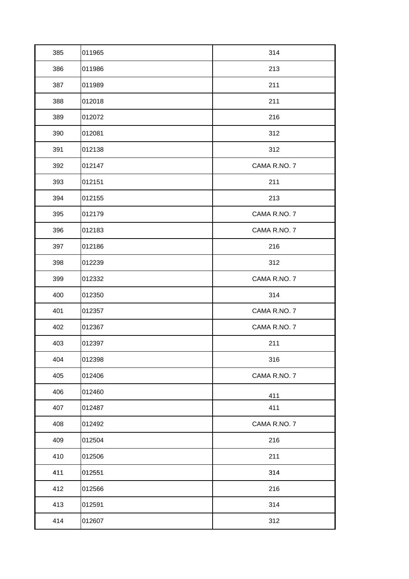| 385 | 011965 | 314          |
|-----|--------|--------------|
| 386 | 011986 | 213          |
| 387 | 011989 | 211          |
| 388 | 012018 | 211          |
| 389 | 012072 | 216          |
| 390 | 012081 | 312          |
| 391 | 012138 | 312          |
| 392 | 012147 | CAMA R.NO. 7 |
| 393 | 012151 | 211          |
| 394 | 012155 | 213          |
| 395 | 012179 | CAMA R.NO. 7 |
| 396 | 012183 | CAMA R.NO. 7 |
| 397 | 012186 | 216          |
| 398 | 012239 | 312          |
| 399 | 012332 | CAMA R.NO. 7 |
| 400 | 012350 | 314          |
| 401 | 012357 | CAMA R.NO. 7 |
| 402 | 012367 | CAMA R.NO. 7 |
| 403 | 012397 | 211          |
| 404 | 012398 | 316          |
| 405 | 012406 | CAMA R.NO. 7 |
| 406 | 012460 | 411          |
| 407 | 012487 | 411          |
| 408 | 012492 | CAMA R.NO. 7 |
| 409 | 012504 | 216          |
| 410 | 012506 | 211          |
| 411 | 012551 | 314          |
| 412 | 012566 | 216          |
| 413 | 012591 | 314          |
| 414 | 012607 | 312          |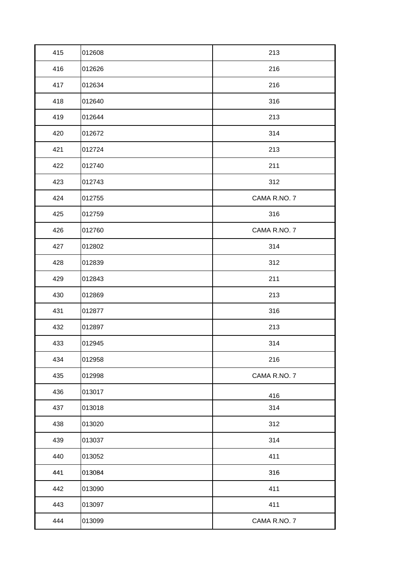| 415 | 012608 | 213          |
|-----|--------|--------------|
| 416 | 012626 | 216          |
| 417 | 012634 | 216          |
| 418 | 012640 | 316          |
| 419 | 012644 | 213          |
| 420 | 012672 | 314          |
| 421 | 012724 | 213          |
| 422 | 012740 | 211          |
| 423 | 012743 | 312          |
| 424 | 012755 | CAMA R.NO. 7 |
| 425 | 012759 | 316          |
| 426 | 012760 | CAMA R.NO. 7 |
| 427 | 012802 | 314          |
| 428 | 012839 | 312          |
| 429 | 012843 | 211          |
| 430 | 012869 | 213          |
| 431 | 012877 | 316          |
| 432 | 012897 | 213          |
| 433 | 012945 | 314          |
| 434 | 012958 | 216          |
| 435 | 012998 | CAMA R.NO. 7 |
| 436 | 013017 | 416          |
| 437 | 013018 | 314          |
| 438 | 013020 | 312          |
| 439 | 013037 | 314          |
| 440 | 013052 | 411          |
| 441 | 013084 | 316          |
| 442 | 013090 | 411          |
| 443 | 013097 | 411          |
| 444 | 013099 | CAMA R.NO. 7 |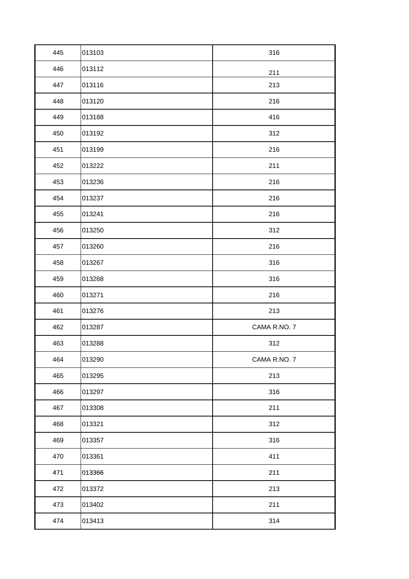| 445 | 013103 | 316          |
|-----|--------|--------------|
| 446 | 013112 | 211          |
| 447 | 013116 | 213          |
| 448 | 013120 | 216          |
| 449 | 013188 | 416          |
| 450 | 013192 | 312          |
| 451 | 013199 | 216          |
| 452 | 013222 | 211          |
| 453 | 013236 | 216          |
| 454 | 013237 | 216          |
| 455 | 013241 | 216          |
| 456 | 013250 | 312          |
| 457 | 013260 | 216          |
| 458 | 013267 | 316          |
| 459 | 013268 | 316          |
| 460 | 013271 | 216          |
| 461 | 013276 | 213          |
| 462 | 013287 | CAMA R.NO. 7 |
| 463 | 013288 | 312          |
| 464 | 013290 | CAMA R.NO.7  |
| 465 | 013295 | 213          |
| 466 | 013297 | 316          |
| 467 | 013308 | 211          |
| 468 | 013321 | 312          |
| 469 | 013357 | 316          |
| 470 | 013361 | 411          |
| 471 | 013366 | 211          |
| 472 | 013372 | 213          |
| 473 | 013402 | 211          |
| 474 | 013413 | 314          |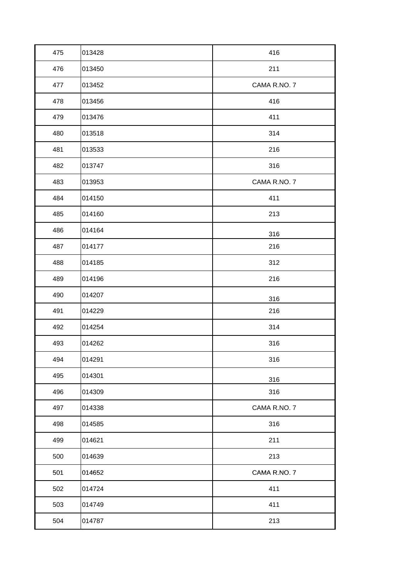| 475 | 013428 | 416          |
|-----|--------|--------------|
| 476 | 013450 | 211          |
| 477 | 013452 | CAMA R.NO. 7 |
| 478 | 013456 | 416          |
| 479 | 013476 | 411          |
| 480 | 013518 | 314          |
| 481 | 013533 | 216          |
| 482 | 013747 | 316          |
| 483 | 013953 | CAMA R.NO. 7 |
| 484 | 014150 | 411          |
| 485 | 014160 | 213          |
| 486 | 014164 | 316          |
| 487 | 014177 | 216          |
| 488 | 014185 | 312          |
| 489 | 014196 | 216          |
| 490 | 014207 | 316          |
| 491 | 014229 | 216          |
| 492 | 014254 | 314          |
| 493 | 014262 | 316          |
| 494 | 014291 | 316          |
| 495 | 014301 | 316          |
| 496 | 014309 | 316          |
| 497 | 014338 | CAMA R.NO. 7 |
| 498 | 014585 | 316          |
| 499 | 014621 | 211          |
| 500 | 014639 | 213          |
| 501 | 014652 | CAMA R.NO. 7 |
| 502 | 014724 | 411          |
| 503 | 014749 | 411          |
| 504 | 014787 | 213          |